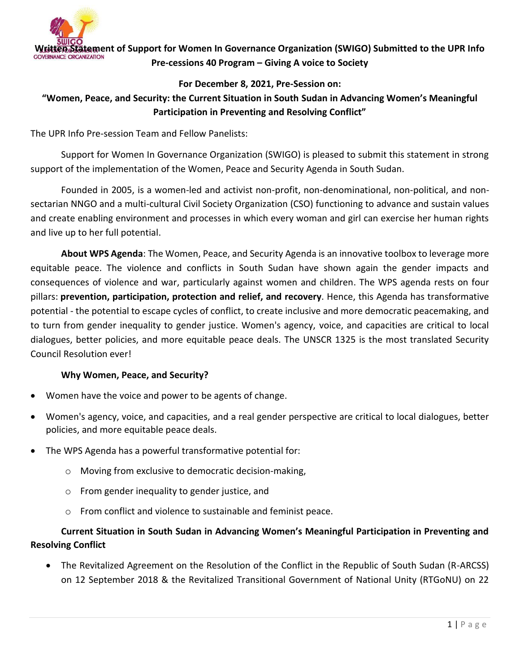

# **Written Statement of Support for Women In Governance Organization (SWIGO) Submitted to the UPR Info Pre-cessions 40 Program – Giving A voice to Society**

## **For December 8, 2021, Pre-Session on: "Women, Peace, and Security: the Current Situation in South Sudan in Advancing Women's Meaningful Participation in Preventing and Resolving Conflict"**

The UPR Info Pre-session Team and Fellow Panelists:

Support for Women In Governance Organization (SWIGO) is pleased to submit this statement in strong support of the implementation of the Women, Peace and Security Agenda in South Sudan.

Founded in 2005, is a women-led and activist non-profit, non-denominational, non-political, and nonsectarian NNGO and a multi-cultural Civil Society Organization (CSO) functioning to advance and sustain values and create enabling environment and processes in which every woman and girl can exercise her human rights and live up to her full potential.

**About WPS Agenda**: The Women, Peace, and Security Agenda is an innovative toolbox to leverage more equitable peace. The violence and conflicts in South Sudan have shown again the gender impacts and consequences of violence and war, particularly against women and children. The WPS agenda rests on four pillars: **prevention, participation, protection and relief, and recovery**. Hence, this Agenda has transformative potential - the potential to escape cycles of conflict, to create inclusive and more democratic peacemaking, and to turn from gender inequality to gender justice. Women's agency, voice, and capacities are critical to local dialogues, better policies, and more equitable peace deals. The UNSCR 1325 is the most translated Security Council Resolution ever!

#### **Why Women, Peace, and Security?**

- Women have the voice and power to be agents of change.
- Women's agency, voice, and capacities, and a real gender perspective are critical to local dialogues, better policies, and more equitable peace deals.
- The WPS Agenda has a powerful transformative potential for:
	- o Moving from exclusive to democratic decision-making,
	- o From gender inequality to gender justice, and
	- o From conflict and violence to sustainable and feminist peace.

### **Current Situation in South Sudan in Advancing Women's Meaningful Participation in Preventing and Resolving Conflict**

• The Revitalized Agreement on the Resolution of the Conflict in the Republic of South Sudan (R-ARCSS) on 12 September 2018 & the Revitalized Transitional Government of National Unity (RTGoNU) on 22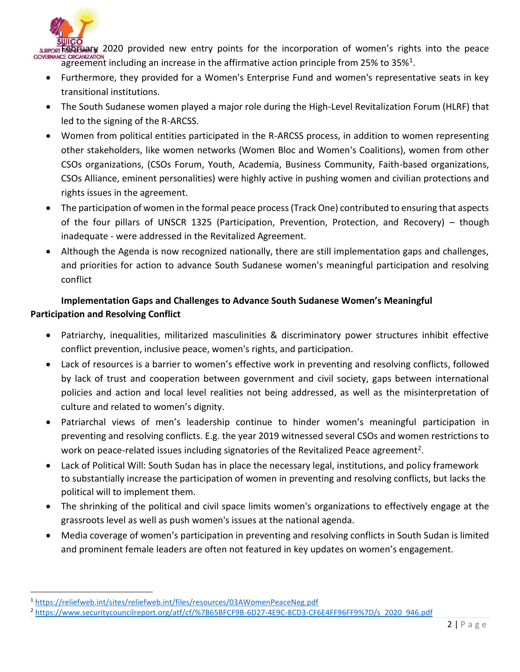support **Federulary** 2020 provided new entry points for the incorporation of women's rights into the peace agreement including an increase in the affirmative action principle from 25% to 35%<sup>1</sup>.

- Furthermore, they provided for a Women's Enterprise Fund and women's representative seats in key transitional institutions.
- The South Sudanese women played a major role during the High-Level Revitalization Forum (HLRF) that led to the signing of the R-ARCSS.
- Women from political entities participated in the R-ARCSS process, in addition to women representing other stakeholders, like women networks (Women Bloc and Women's Coalitions), women from other CSOs organizations, (CSOs Forum, Youth, Academia, Business Community, Faith-based organizations, CSOs Alliance, eminent personalities) were highly active in pushing women and civilian protections and rights issues in the agreement.
- The participation of women in the formal peace process (Track One) contributed to ensuring that aspects of the four pillars of UNSCR 1325 (Participation, Prevention, Protection, and Recovery) – though inadequate - were addressed in the Revitalized Agreement.
- Although the Agenda is now recognized nationally, there are still implementation gaps and challenges, and priorities for action to advance South Sudanese women's meaningful participation and resolving conflict

## **Implementation Gaps and Challenges to Advance South Sudanese Women's Meaningful Participation and Resolving Conflict**

- Patriarchy, inequalities, militarized masculinities & discriminatory power structures inhibit effective conflict prevention, inclusive peace, women's rights, and participation.
- Lack of resources is a barrier to women's effective work in preventing and resolving conflicts, followed by lack of trust and cooperation between government and civil society, gaps between international policies and action and local level realities not being addressed, as well as the misinterpretation of culture and related to women's dignity.
- Patriarchal views of men's leadership continue to hinder women's meaningful participation in preventing and resolving conflicts. E.g. the year 2019 witnessed several CSOs and women restrictions to work on peace-related issues including signatories of the Revitalized Peace agreement<sup>2</sup>.
- Lack of Political Will: South Sudan has in place the necessary legal, institutions, and policy framework to substantially increase the participation of women in preventing and resolving conflicts, but lacks the political will to implement them.
- The shrinking of the political and civil space limits women's organizations to effectively engage at the grassroots level as well as push women's issues at the national agenda.
- Media coverage of women's participation in preventing and resolving conflicts in South Sudan is limited and prominent female leaders are often not featured in key updates on women's engagement.

<sup>1</sup> <https://reliefweb.int/sites/reliefweb.int/files/resources/03AWomenPeaceNeg.pdf>

<sup>2</sup> [https://www.securitycouncilreport.org/atf/cf/%7B65BFCF9B-6D27-4E9C-8CD3-CF6E4FF96FF9%7D/s\\_2020\\_946.pdf](https://www.securitycouncilreport.org/atf/cf/%7B65BFCF9B-6D27-4E9C-8CD3-CF6E4FF96FF9%7D/s_2020_946.pdf)